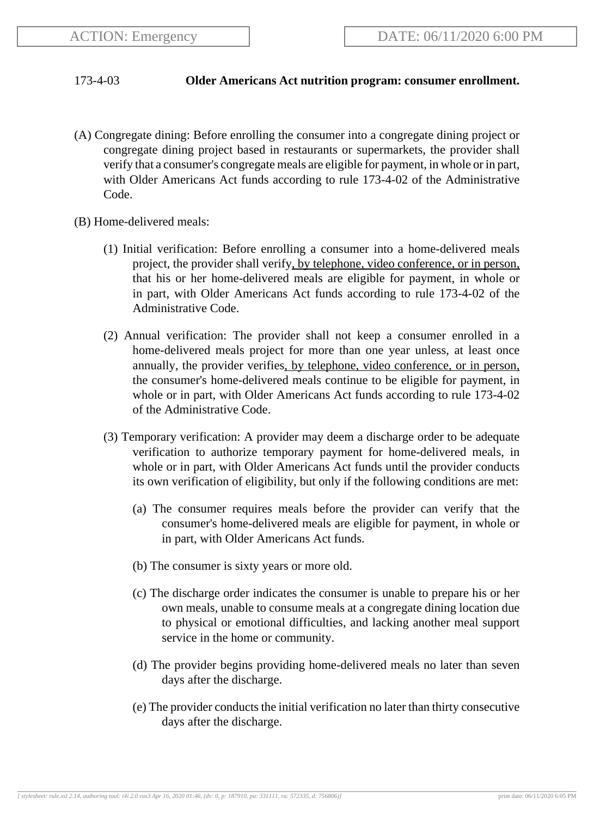## 173-4-03 **Older Americans Act nutrition program: consumer enrollment.**

- (A) Congregate dining: Before enrolling the consumer into a congregate dining project or congregate dining project based in restaurants or supermarkets, the provider shall verify that a consumer's congregate meals are eligible for payment, in whole or in part, with Older Americans Act funds according to rule 173-4-02 of the Administrative Code.
- (B) Home-delivered meals:
	- (1) Initial verification: Before enrolling a consumer into a home-delivered meals project, the provider shall verify, by telephone, video conference, or in person, that his or her home-delivered meals are eligible for payment, in whole or in part, with Older Americans Act funds according to rule 173-4-02 of the Administrative Code.
	- (2) Annual verification: The provider shall not keep a consumer enrolled in a home-delivered meals project for more than one year unless, at least once annually, the provider verifies, by telephone, video conference, or in person, the consumer's home-delivered meals continue to be eligible for payment, in whole or in part, with Older Americans Act funds according to rule 173-4-02 of the Administrative Code.
	- (3) Temporary verification: A provider may deem a discharge order to be adequate verification to authorize temporary payment for home-delivered meals, in whole or in part, with Older Americans Act funds until the provider conducts its own verification of eligibility, but only if the following conditions are met:
		- (a) The consumer requires meals before the provider can verify that the consumer's home-delivered meals are eligible for payment, in whole or in part, with Older Americans Act funds.
		- (b) The consumer is sixty years or more old.
		- (c) The discharge order indicates the consumer is unable to prepare his or her own meals, unable to consume meals at a congregate dining location due to physical or emotional difficulties, and lacking another meal support service in the home or community.
		- (d) The provider begins providing home-delivered meals no later than seven days after the discharge.
		- (e) The provider conducts the initial verification no later than thirty consecutive days after the discharge.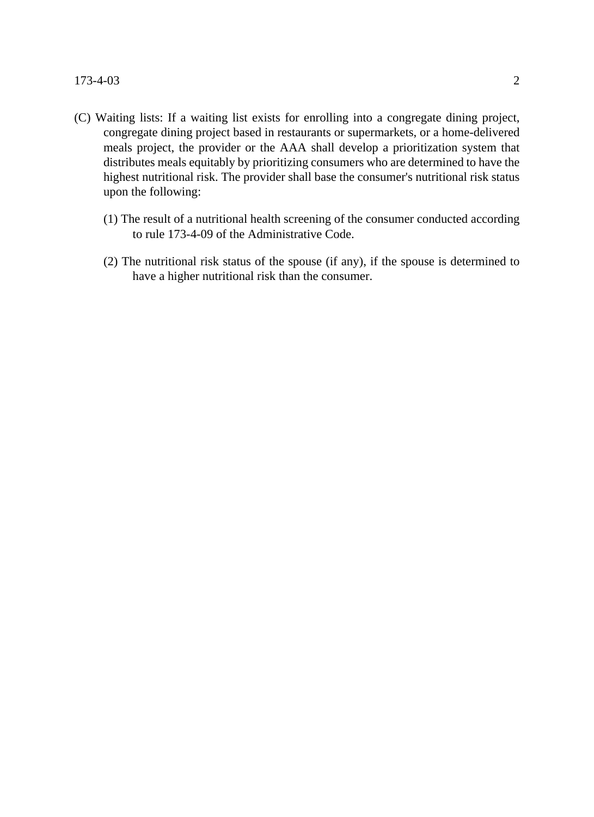- (C) Waiting lists: If a waiting list exists for enrolling into a congregate dining project, congregate dining project based in restaurants or supermarkets, or a home-delivered meals project, the provider or the AAA shall develop a prioritization system that distributes meals equitably by prioritizing consumers who are determined to have the highest nutritional risk. The provider shall base the consumer's nutritional risk status upon the following:
	- (1) The result of a nutritional health screening of the consumer conducted according to rule 173-4-09 of the Administrative Code.
	- (2) The nutritional risk status of the spouse (if any), if the spouse is determined to have a higher nutritional risk than the consumer.